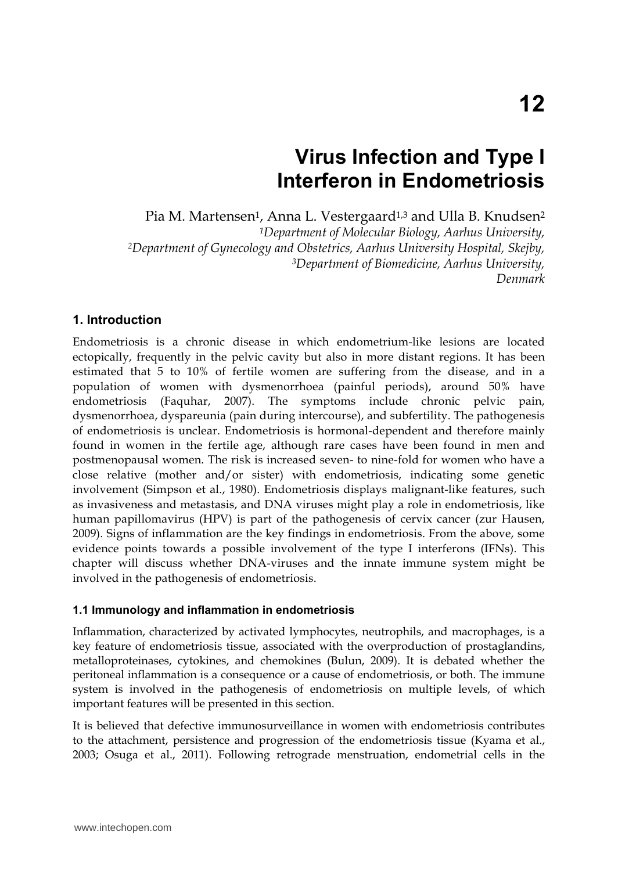# **Virus Infection and Type I Interferon in Endometriosis**

Pia M. Martensen<sup>1</sup>, Anna L. Vestergaard<sup>1,3</sup> and Ulla B. Knudsen<sup>2</sup> *<sup>1</sup>Department of Molecular Biology, Aarhus University, <sup>2</sup>Department of Gynecology and Obstetrics, Aarhus University Hospital, Skejby, <sup>3</sup>Department of Biomedicine, Aarhus University, Denmark* 

## **1. Introduction**

Endometriosis is a chronic disease in which endometrium-like lesions are located ectopically, frequently in the pelvic cavity but also in more distant regions. It has been estimated that 5 to 10% of fertile women are suffering from the disease, and in a population of women with dysmenorrhoea (painful periods), around 50% have endometriosis (Faquhar, 2007). The symptoms include chronic pelvic pain, dysmenorrhoea, dyspareunia (pain during intercourse), and subfertility. The pathogenesis of endometriosis is unclear. Endometriosis is hormonal-dependent and therefore mainly found in women in the fertile age, although rare cases have been found in men and postmenopausal women. The risk is increased seven- to nine-fold for women who have a close relative (mother and/or sister) with endometriosis, indicating some genetic involvement (Simpson et al., 1980). Endometriosis displays malignant-like features, such as invasiveness and metastasis, and DNA viruses might play a role in endometriosis, like human papillomavirus (HPV) is part of the pathogenesis of cervix cancer (zur Hausen, 2009). Signs of inflammation are the key findings in endometriosis. From the above, some evidence points towards a possible involvement of the type I interferons (IFNs). This chapter will discuss whether DNA-viruses and the innate immune system might be involved in the pathogenesis of endometriosis.

#### **1.1 Immunology and inflammation in endometriosis**

Inflammation, characterized by activated lymphocytes, neutrophils, and macrophages, is a key feature of endometriosis tissue, associated with the overproduction of prostaglandins, metalloproteinases, cytokines, and chemokines (Bulun, 2009). It is debated whether the peritoneal inflammation is a consequence or a cause of endometriosis, or both. The immune system is involved in the pathogenesis of endometriosis on multiple levels, of which important features will be presented in this section.

It is believed that defective immunosurveillance in women with endometriosis contributes to the attachment, persistence and progression of the endometriosis tissue (Kyama et al., 2003; Osuga et al., 2011). Following retrograde menstruation, endometrial cells in the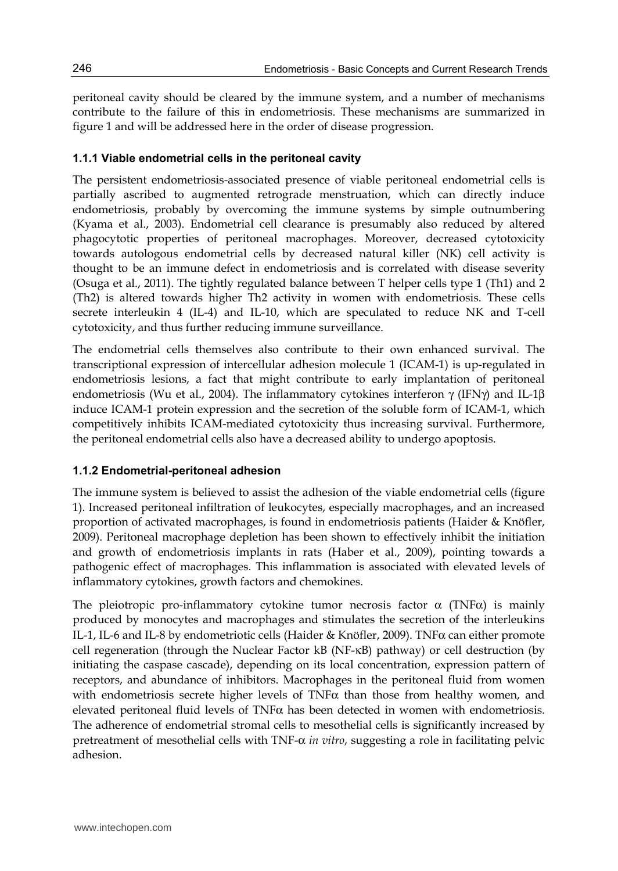peritoneal cavity should be cleared by the immune system, and a number of mechanisms contribute to the failure of this in endometriosis. These mechanisms are summarized in figure 1 and will be addressed here in the order of disease progression.

## **1.1.1 Viable endometrial cells in the peritoneal cavity**

The persistent endometriosis-associated presence of viable peritoneal endometrial cells is partially ascribed to augmented retrograde menstruation, which can directly induce endometriosis, probably by overcoming the immune systems by simple outnumbering (Kyama et al., 2003). Endometrial cell clearance is presumably also reduced by altered phagocytotic properties of peritoneal macrophages. Moreover, decreased cytotoxicity towards autologous endometrial cells by decreased natural killer (NK) cell activity is thought to be an immune defect in endometriosis and is correlated with disease severity (Osuga et al., 2011). The tightly regulated balance between T helper cells type 1 (Th1) and 2 (Th2) is altered towards higher Th2 activity in women with endometriosis. These cells secrete interleukin 4 (IL-4) and IL-10, which are speculated to reduce NK and T-cell cytotoxicity, and thus further reducing immune surveillance.

The endometrial cells themselves also contribute to their own enhanced survival. The transcriptional expression of intercellular adhesion molecule 1 (ICAM-1) is up-regulated in endometriosis lesions, a fact that might contribute to early implantation of peritoneal endometriosis (Wu et al., 2004). The inflammatory cytokines interferon  $\gamma$  (IFN $\gamma$ ) and IL-1 $\beta$ induce ICAM-1 protein expression and the secretion of the soluble form of ICAM-1, which competitively inhibits ICAM-mediated cytotoxicity thus increasing survival. Furthermore, the peritoneal endometrial cells also have a decreased ability to undergo apoptosis.

## **1.1.2 Endometrial-peritoneal adhesion**

The immune system is believed to assist the adhesion of the viable endometrial cells (figure 1). Increased peritoneal infiltration of leukocytes, especially macrophages, and an increased proportion of activated macrophages, is found in endometriosis patients (Haider & Knöfler, 2009). Peritoneal macrophage depletion has been shown to effectively inhibit the initiation and growth of endometriosis implants in rats (Haber et al., 2009), pointing towards a pathogenic effect of macrophages. This inflammation is associated with elevated levels of inflammatory cytokines, growth factors and chemokines.

The pleiotropic pro-inflammatory cytokine tumor necrosis factor  $\alpha$  (TNF $\alpha$ ) is mainly produced by monocytes and macrophages and stimulates the secretion of the interleukins IL-1, IL-6 and IL-8 by endometriotic cells (Haider & Knöfler, 2009). TNFα can either promote cell regeneration (through the Nuclear Factor kB (NF-κB) pathway) or cell destruction (by initiating the caspase cascade), depending on its local concentration, expression pattern of receptors, and abundance of inhibitors. Macrophages in the peritoneal fluid from women with endometriosis secrete higher levels of  $TNF\alpha$  than those from healthy women, and elevated peritoneal fluid levels of TNF $\alpha$  has been detected in women with endometriosis. The adherence of endometrial stromal cells to mesothelial cells is significantly increased by pretreatment of mesothelial cells with TNF- $\alpha$  *in vitro*, suggesting a role in facilitating pelvic adhesion.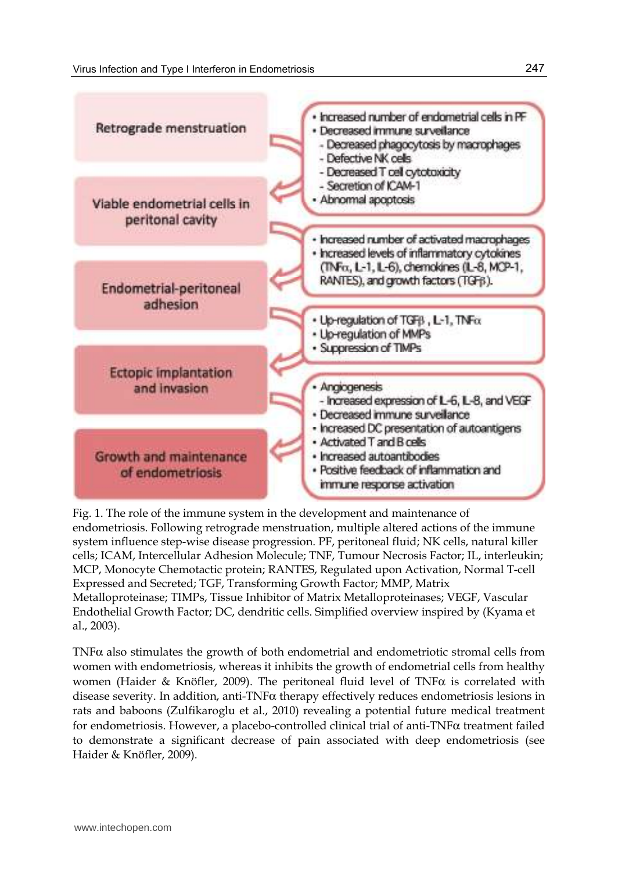

Fig. 1. The role of the immune system in the development and maintenance of endometriosis. Following retrograde menstruation, multiple altered actions of the immune system influence step-wise disease progression. PF, peritoneal fluid; NK cells, natural killer cells; ICAM, Intercellular Adhesion Molecule; TNF, Tumour Necrosis Factor; IL, interleukin; MCP, Monocyte Chemotactic protein; RANTES, Regulated upon Activation, Normal T-cell Expressed and Secreted; TGF, Transforming Growth Factor; MMP, Matrix Metalloproteinase; TIMPs, Tissue Inhibitor of Matrix Metalloproteinases; VEGF, Vascular Endothelial Growth Factor; DC, dendritic cells. Simplified overview inspired by (Kyama et al., 2003).

TNF $\alpha$  also stimulates the growth of both endometrial and endometriotic stromal cells from women with endometriosis, whereas it inhibits the growth of endometrial cells from healthy women (Haider & Knöfler, 2009). The peritoneal fluid level of TNF $\alpha$  is correlated with disease severity. In addition, anti-TNF $\alpha$  therapy effectively reduces endometriosis lesions in rats and baboons (Zulfikaroglu et al., 2010) revealing a potential future medical treatment for endometriosis. However, a placebo-controlled clinical trial of anti-TNFα treatment failed to demonstrate a significant decrease of pain associated with deep endometriosis (see Haider & Knöfler, 2009).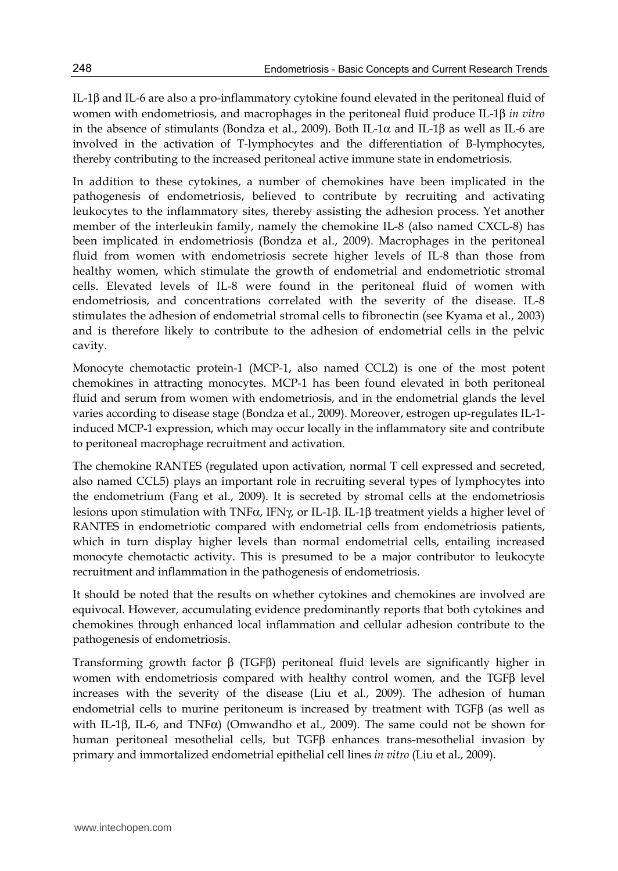IL-1β and IL-6 are also a pro-inflammatory cytokine found elevated in the peritoneal fluid of women with endometriosis, and macrophages in the peritoneal fluid produce IL-1β *in vitro* in the absence of stimulants (Bondza et al., 2009). Both IL-1 $\alpha$  and IL-1 $\beta$  as well as IL-6 are involved in the activation of T-lymphocytes and the differentiation of B-lymphocytes, thereby contributing to the increased peritoneal active immune state in endometriosis.

In addition to these cytokines, a number of chemokines have been implicated in the pathogenesis of endometriosis, believed to contribute by recruiting and activating leukocytes to the inflammatory sites, thereby assisting the adhesion process. Yet another member of the interleukin family, namely the chemokine IL-8 (also named CXCL-8) has been implicated in endometriosis (Bondza et al., 2009). Macrophages in the peritoneal fluid from women with endometriosis secrete higher levels of IL-8 than those from healthy women, which stimulate the growth of endometrial and endometriotic stromal cells. Elevated levels of IL-8 were found in the peritoneal fluid of women with endometriosis, and concentrations correlated with the severity of the disease. IL-8 stimulates the adhesion of endometrial stromal cells to fibronectin (see Kyama et al., 2003) and is therefore likely to contribute to the adhesion of endometrial cells in the pelvic cavity.

Monocyte chemotactic protein-1 (MCP-1, also named CCL2) is one of the most potent chemokines in attracting monocytes. MCP-1 has been found elevated in both peritoneal fluid and serum from women with endometriosis, and in the endometrial glands the level varies according to disease stage (Bondza et al., 2009). Moreover, estrogen up-regulates IL-1 induced MCP-1 expression, which may occur locally in the inflammatory site and contribute to peritoneal macrophage recruitment and activation.

The chemokine RANTES (regulated upon activation, normal T cell expressed and secreted, also named CCL5) plays an important role in recruiting several types of lymphocytes into the endometrium (Fang et al., 2009). It is secreted by stromal cells at the endometriosis lesions upon stimulation with TNFα, IFNγ, or IL-1β. IL-1β treatment yields a higher level of RANTES in endometriotic compared with endometrial cells from endometriosis patients, which in turn display higher levels than normal endometrial cells, entailing increased monocyte chemotactic activity. This is presumed to be a major contributor to leukocyte recruitment and inflammation in the pathogenesis of endometriosis.

It should be noted that the results on whether cytokines and chemokines are involved are equivocal. However, accumulating evidence predominantly reports that both cytokines and chemokines through enhanced local inflammation and cellular adhesion contribute to the pathogenesis of endometriosis.

Transforming growth factor β (TGFβ) peritoneal fluid levels are significantly higher in women with endometriosis compared with healthy control women, and the TGFβ level increases with the severity of the disease (Liu et al., 2009). The adhesion of human endometrial cells to murine peritoneum is increased by treatment with  $TGF\beta$  (as well as with IL-1β, IL-6, and TNF $\alpha$ ) (Omwandho et al., 2009). The same could not be shown for human peritoneal mesothelial cells, but TGFβ enhances trans-mesothelial invasion by primary and immortalized endometrial epithelial cell lines *in vitro* (Liu et al., 2009).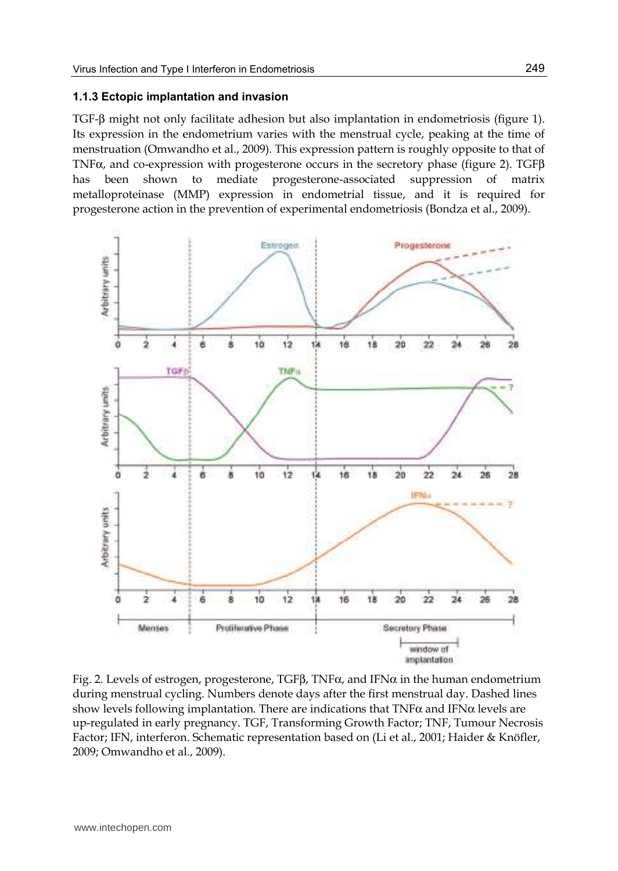#### **1.1.3 Ectopic implantation and invasion**

TGF-β might not only facilitate adhesion but also implantation in endometriosis (figure 1). Its expression in the endometrium varies with the menstrual cycle, peaking at the time of menstruation (Omwandho et al., 2009). This expression pattern is roughly opposite to that of TNF $\alpha$ , and co-expression with progesterone occurs in the secretory phase (figure 2). TGF $\beta$ has been shown to mediate progesterone-associated suppression of matrix metalloproteinase (MMP) expression in endometrial tissue, and it is required for progesterone action in the prevention of experimental endometriosis (Bondza et al., 2009).



Fig. 2. Levels of estrogen, progesterone, TGFβ, TNFα, and IFN $α$  in the human endometrium during menstrual cycling. Numbers denote days after the first menstrual day. Dashed lines show levels following implantation. There are indications that  $TNF\alpha$  and IFN $\alpha$  levels are up-regulated in early pregnancy. TGF, Transforming Growth Factor; TNF, Tumour Necrosis Factor; IFN, interferon. Schematic representation based on (Li et al., 2001; Haider & Knöfler, 2009; Omwandho et al., 2009).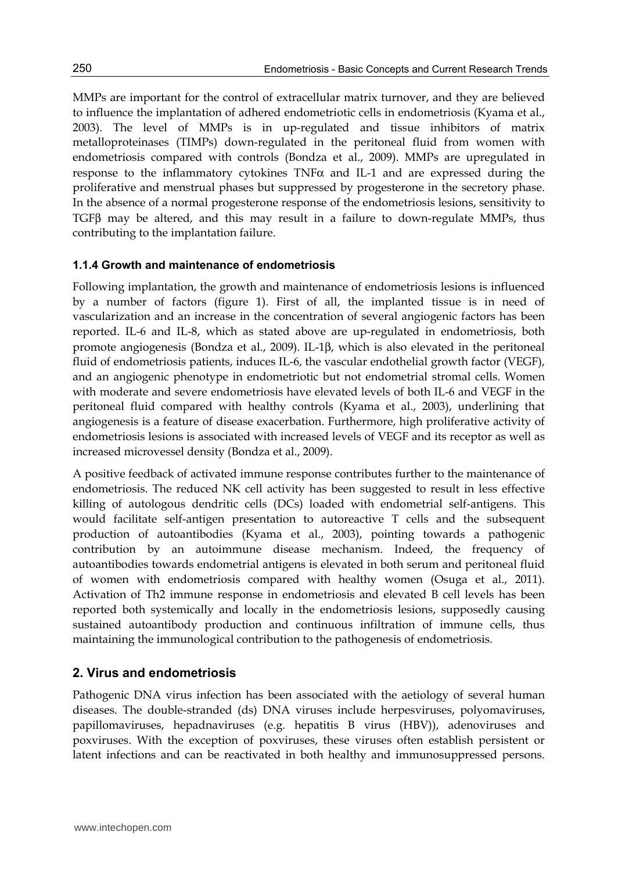MMPs are important for the control of extracellular matrix turnover, and they are believed to influence the implantation of adhered endometriotic cells in endometriosis (Kyama et al., 2003). The level of MMPs is in up-regulated and tissue inhibitors of matrix metalloproteinases (TIMPs) down-regulated in the peritoneal fluid from women with endometriosis compared with controls (Bondza et al., 2009). MMPs are upregulated in response to the inflammatory cytokines  $TNF\alpha$  and  $IL-1$  and are expressed during the proliferative and menstrual phases but suppressed by progesterone in the secretory phase. In the absence of a normal progesterone response of the endometriosis lesions, sensitivity to TGFβ may be altered, and this may result in a failure to down-regulate MMPs, thus contributing to the implantation failure.

## **1.1.4 Growth and maintenance of endometriosis**

Following implantation, the growth and maintenance of endometriosis lesions is influenced by a number of factors (figure 1). First of all, the implanted tissue is in need of vascularization and an increase in the concentration of several angiogenic factors has been reported. IL-6 and IL-8, which as stated above are up-regulated in endometriosis, both promote angiogenesis (Bondza et al., 2009). IL-1β, which is also elevated in the peritoneal fluid of endometriosis patients, induces IL-6, the vascular endothelial growth factor (VEGF), and an angiogenic phenotype in endometriotic but not endometrial stromal cells. Women with moderate and severe endometriosis have elevated levels of both IL-6 and VEGF in the peritoneal fluid compared with healthy controls (Kyama et al., 2003), underlining that angiogenesis is a feature of disease exacerbation. Furthermore, high proliferative activity of endometriosis lesions is associated with increased levels of VEGF and its receptor as well as increased microvessel density (Bondza et al., 2009).

A positive feedback of activated immune response contributes further to the maintenance of endometriosis. The reduced NK cell activity has been suggested to result in less effective killing of autologous dendritic cells (DCs) loaded with endometrial self-antigens. This would facilitate self-antigen presentation to autoreactive T cells and the subsequent production of autoantibodies (Kyama et al., 2003), pointing towards a pathogenic contribution by an autoimmune disease mechanism. Indeed, the frequency of autoantibodies towards endometrial antigens is elevated in both serum and peritoneal fluid of women with endometriosis compared with healthy women (Osuga et al., 2011). Activation of Th2 immune response in endometriosis and elevated B cell levels has been reported both systemically and locally in the endometriosis lesions, supposedly causing sustained autoantibody production and continuous infiltration of immune cells, thus maintaining the immunological contribution to the pathogenesis of endometriosis.

# **2. Virus and endometriosis**

Pathogenic DNA virus infection has been associated with the aetiology of several human diseases. The double-stranded (ds) DNA viruses include herpesviruses, polyomaviruses, papillomaviruses, hepadnaviruses (e.g. hepatitis B virus (HBV)), adenoviruses and poxviruses. With the exception of poxviruses, these viruses often establish persistent or latent infections and can be reactivated in both healthy and immunosuppressed persons.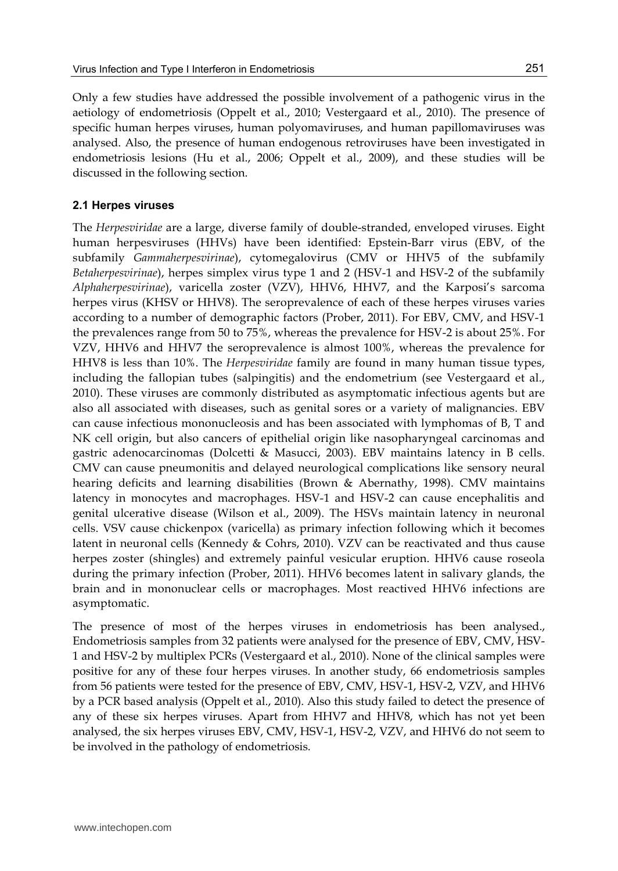Only a few studies have addressed the possible involvement of a pathogenic virus in the aetiology of endometriosis (Oppelt et al., 2010; Vestergaard et al., 2010). The presence of specific human herpes viruses, human polyomaviruses, and human papillomaviruses was analysed. Also, the presence of human endogenous retroviruses have been investigated in endometriosis lesions (Hu et al., 2006; Oppelt et al., 2009), and these studies will be discussed in the following section.

## **2.1 Herpes viruses**

The *Herpesviridae* are a large, diverse family of double-stranded, enveloped viruses. Eight human herpesviruses (HHVs) have been identified: Epstein-Barr virus (EBV, of the subfamily *Gammaherpesvirinae*), cytomegalovirus (CMV or HHV5 of the subfamily *Betaherpesvirinae*), herpes simplex virus type 1 and 2 (HSV-1 and HSV-2 of the subfamily *Alphaherpesvirinae*), varicella zoster (VZV), HHV6, HHV7, and the Karposi's sarcoma herpes virus (KHSV or HHV8). The seroprevalence of each of these herpes viruses varies according to a number of demographic factors (Prober, 2011). For EBV, CMV, and HSV-1 the prevalences range from 50 to 75%, whereas the prevalence for HSV-2 is about 25%. For VZV, HHV6 and HHV7 the seroprevalence is almost 100%, whereas the prevalence for HHV8 is less than 10%. The *Herpesviridae* family are found in many human tissue types, including the fallopian tubes (salpingitis) and the endometrium (see Vestergaard et al., 2010). These viruses are commonly distributed as asymptomatic infectious agents but are also all associated with diseases, such as genital sores or a variety of malignancies. EBV can cause infectious mononucleosis and has been associated with lymphomas of B, T and NK cell origin, but also cancers of epithelial origin like nasopharyngeal carcinomas and gastric adenocarcinomas (Dolcetti & Masucci, 2003). EBV maintains latency in B cells. CMV can cause pneumonitis and delayed neurological complications like sensory neural hearing deficits and learning disabilities (Brown & Abernathy, 1998). CMV maintains latency in monocytes and macrophages. HSV-1 and HSV-2 can cause encephalitis and genital ulcerative disease (Wilson et al., 2009). The HSVs maintain latency in neuronal cells. VSV cause chickenpox (varicella) as primary infection following which it becomes latent in neuronal cells (Kennedy & Cohrs, 2010). VZV can be reactivated and thus cause herpes zoster (shingles) and extremely painful vesicular eruption. HHV6 cause roseola during the primary infection (Prober, 2011). HHV6 becomes latent in salivary glands, the brain and in mononuclear cells or macrophages. Most reactived HHV6 infections are asymptomatic.

The presence of most of the herpes viruses in endometriosis has been analysed., Endometriosis samples from 32 patients were analysed for the presence of EBV, CMV, HSV-1 and HSV-2 by multiplex PCRs (Vestergaard et al., 2010). None of the clinical samples were positive for any of these four herpes viruses. In another study, 66 endometriosis samples from 56 patients were tested for the presence of EBV, CMV, HSV-1, HSV-2, VZV, and HHV6 by a PCR based analysis (Oppelt et al., 2010). Also this study failed to detect the presence of any of these six herpes viruses. Apart from HHV7 and HHV8, which has not yet been analysed, the six herpes viruses EBV, CMV, HSV-1, HSV-2, VZV, and HHV6 do not seem to be involved in the pathology of endometriosis.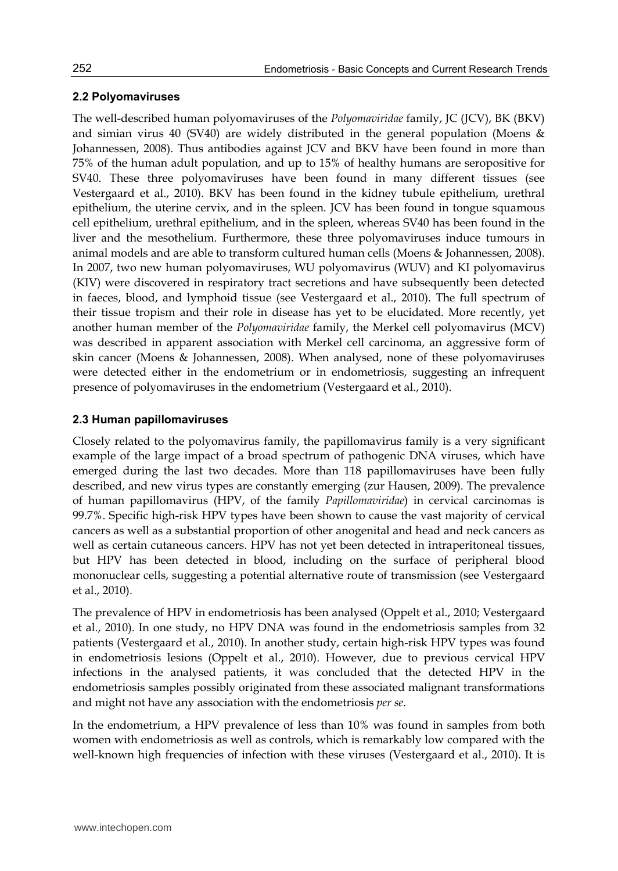## **2.2 Polyomaviruses**

The well-described human polyomaviruses of the *Polyomaviridae* family, JC (JCV), BK (BKV) and simian virus 40 (SV40) are widely distributed in the general population (Moens & Johannessen, 2008). Thus antibodies against JCV and BKV have been found in more than 75% of the human adult population, and up to 15% of healthy humans are seropositive for SV40. These three polyomaviruses have been found in many different tissues (see Vestergaard et al., 2010). BKV has been found in the kidney tubule epithelium, urethral epithelium, the uterine cervix, and in the spleen. JCV has been found in tongue squamous cell epithelium, urethral epithelium, and in the spleen, whereas SV40 has been found in the liver and the mesothelium. Furthermore, these three polyomaviruses induce tumours in animal models and are able to transform cultured human cells (Moens & Johannessen, 2008). In 2007, two new human polyomaviruses, WU polyomavirus (WUV) and KI polyomavirus (KIV) were discovered in respiratory tract secretions and have subsequently been detected in faeces, blood, and lymphoid tissue (see Vestergaard et al., 2010). The full spectrum of their tissue tropism and their role in disease has yet to be elucidated. More recently, yet another human member of the *Polyomaviridae* family, the Merkel cell polyomavirus (MCV) was described in apparent association with Merkel cell carcinoma, an aggressive form of skin cancer (Moens & Johannessen, 2008). When analysed, none of these polyomaviruses were detected either in the endometrium or in endometriosis, suggesting an infrequent presence of polyomaviruses in the endometrium (Vestergaard et al., 2010).

#### **2.3 Human papillomaviruses**

Closely related to the polyomavirus family, the papillomavirus family is a very significant example of the large impact of a broad spectrum of pathogenic DNA viruses, which have emerged during the last two decades. More than 118 papillomaviruses have been fully described, and new virus types are constantly emerging (zur Hausen, 2009). The prevalence of human papillomavirus (HPV, of the family *Papillomaviridae*) in cervical carcinomas is 99.7%. Specific high-risk HPV types have been shown to cause the vast majority of cervical cancers as well as a substantial proportion of other anogenital and head and neck cancers as well as certain cutaneous cancers. HPV has not yet been detected in intraperitoneal tissues, but HPV has been detected in blood, including on the surface of peripheral blood mononuclear cells, suggesting a potential alternative route of transmission (see Vestergaard et al., 2010).

The prevalence of HPV in endometriosis has been analysed (Oppelt et al., 2010; Vestergaard et al., 2010). In one study, no HPV DNA was found in the endometriosis samples from 32 patients (Vestergaard et al., 2010). In another study, certain high-risk HPV types was found in endometriosis lesions (Oppelt et al., 2010). However, due to previous cervical HPV infections in the analysed patients, it was concluded that the detected HPV in the endometriosis samples possibly originated from these associated malignant transformations and might not have any association with the endometriosis *per se*.

In the endometrium, a HPV prevalence of less than 10% was found in samples from both women with endometriosis as well as controls, which is remarkably low compared with the well-known high frequencies of infection with these viruses (Vestergaard et al., 2010). It is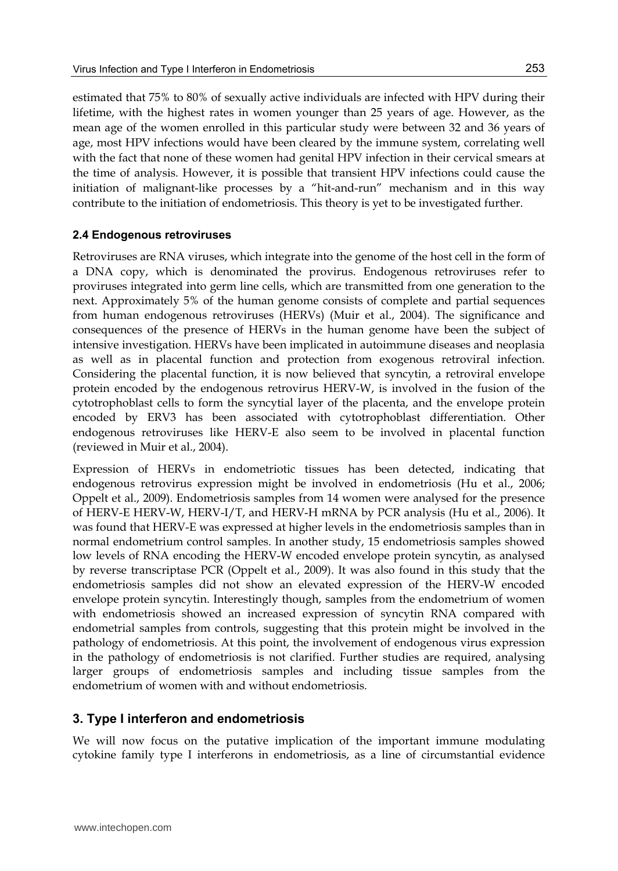estimated that 75% to 80% of sexually active individuals are infected with HPV during their lifetime, with the highest rates in women younger than 25 years of age. However, as the mean age of the women enrolled in this particular study were between 32 and 36 years of age, most HPV infections would have been cleared by the immune system, correlating well with the fact that none of these women had genital HPV infection in their cervical smears at the time of analysis. However, it is possible that transient HPV infections could cause the initiation of malignant-like processes by a "hit-and-run" mechanism and in this way contribute to the initiation of endometriosis. This theory is yet to be investigated further.

#### **2.4 Endogenous retroviruses**

Retroviruses are RNA viruses, which integrate into the genome of the host cell in the form of a DNA copy, which is denominated the provirus. Endogenous retroviruses refer to proviruses integrated into germ line cells, which are transmitted from one generation to the next. Approximately 5% of the human genome consists of complete and partial sequences from human endogenous retroviruses (HERVs) (Muir et al., 2004). The significance and consequences of the presence of HERVs in the human genome have been the subject of intensive investigation. HERVs have been implicated in autoimmune diseases and neoplasia as well as in placental function and protection from exogenous retroviral infection. Considering the placental function, it is now believed that syncytin, a retroviral envelope protein encoded by the endogenous retrovirus HERV-W, is involved in the fusion of the cytotrophoblast cells to form the syncytial layer of the placenta, and the envelope protein encoded by ERV3 has been associated with cytotrophoblast differentiation. Other endogenous retroviruses like HERV-E also seem to be involved in placental function (reviewed in Muir et al., 2004).

Expression of HERVs in endometriotic tissues has been detected, indicating that endogenous retrovirus expression might be involved in endometriosis (Hu et al., 2006; Oppelt et al., 2009). Endometriosis samples from 14 women were analysed for the presence of HERV-E HERV-W, HERV-I/T, and HERV-H mRNA by PCR analysis (Hu et al., 2006). It was found that HERV-E was expressed at higher levels in the endometriosis samples than in normal endometrium control samples. In another study, 15 endometriosis samples showed low levels of RNA encoding the HERV-W encoded envelope protein syncytin, as analysed by reverse transcriptase PCR (Oppelt et al., 2009). It was also found in this study that the endometriosis samples did not show an elevated expression of the HERV-W encoded envelope protein syncytin. Interestingly though, samples from the endometrium of women with endometriosis showed an increased expression of syncytin RNA compared with endometrial samples from controls, suggesting that this protein might be involved in the pathology of endometriosis. At this point, the involvement of endogenous virus expression in the pathology of endometriosis is not clarified. Further studies are required, analysing larger groups of endometriosis samples and including tissue samples from the endometrium of women with and without endometriosis.

## **3. Type I interferon and endometriosis**

We will now focus on the putative implication of the important immune modulating cytokine family type I interferons in endometriosis, as a line of circumstantial evidence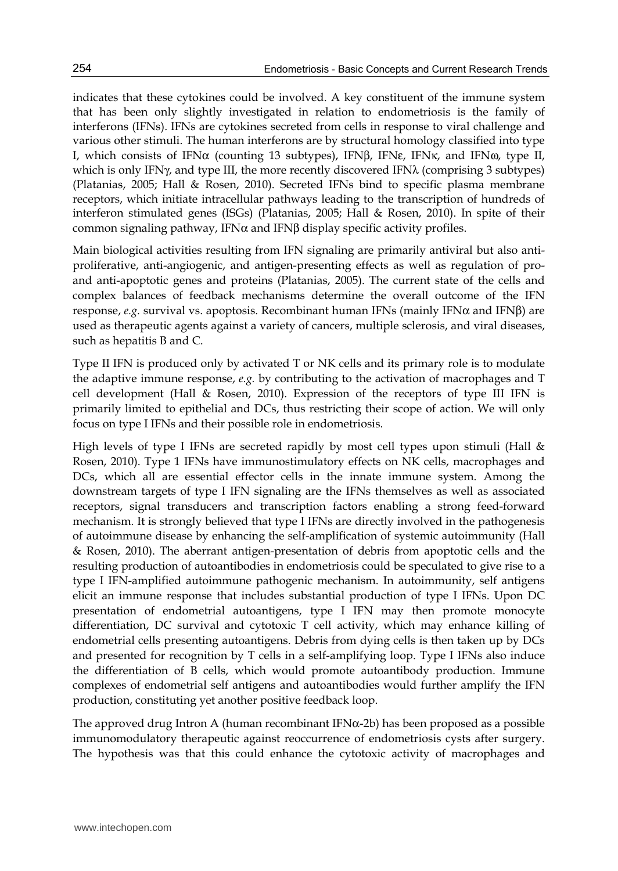indicates that these cytokines could be involved. A key constituent of the immune system that has been only slightly investigated in relation to endometriosis is the family of interferons (IFNs). IFNs are cytokines secreted from cells in response to viral challenge and various other stimuli. The human interferons are by structural homology classified into type I, which consists of IFNα (counting 13 subtypes), IFNβ, IFNε, IFNκ, and IFNω, type II, which is only IFNγ, and type III, the more recently discovered IFNλ (comprising 3 subtypes) (Platanias, 2005; Hall & Rosen, 2010). Secreted IFNs bind to specific plasma membrane receptors, which initiate intracellular pathways leading to the transcription of hundreds of interferon stimulated genes (ISGs) (Platanias, 2005; Hall & Rosen, 2010). In spite of their common signaling pathway, IFNα and IFNβ display specific activity profiles.

Main biological activities resulting from IFN signaling are primarily antiviral but also antiproliferative, anti-angiogenic, and antigen-presenting effects as well as regulation of proand anti-apoptotic genes and proteins (Platanias, 2005). The current state of the cells and complex balances of feedback mechanisms determine the overall outcome of the IFN response, *e.g.* survival vs. apoptosis. Recombinant human IFNs (mainly IFNα and IFNβ) are used as therapeutic agents against a variety of cancers, multiple sclerosis, and viral diseases, such as hepatitis B and C.

Type II IFN is produced only by activated T or NK cells and its primary role is to modulate the adaptive immune response, *e.g.* by contributing to the activation of macrophages and T cell development (Hall & Rosen, 2010). Expression of the receptors of type III IFN is primarily limited to epithelial and DCs, thus restricting their scope of action. We will only focus on type I IFNs and their possible role in endometriosis.

High levels of type I IFNs are secreted rapidly by most cell types upon stimuli (Hall  $\&$ Rosen, 2010). Type 1 IFNs have immunostimulatory effects on NK cells, macrophages and DCs, which all are essential effector cells in the innate immune system. Among the downstream targets of type I IFN signaling are the IFNs themselves as well as associated receptors, signal transducers and transcription factors enabling a strong feed-forward mechanism. It is strongly believed that type I IFNs are directly involved in the pathogenesis of autoimmune disease by enhancing the self-amplification of systemic autoimmunity (Hall & Rosen, 2010). The aberrant antigen-presentation of debris from apoptotic cells and the resulting production of autoantibodies in endometriosis could be speculated to give rise to a type I IFN-amplified autoimmune pathogenic mechanism. In autoimmunity, self antigens elicit an immune response that includes substantial production of type I IFNs. Upon DC presentation of endometrial autoantigens, type I IFN may then promote monocyte differentiation, DC survival and cytotoxic T cell activity, which may enhance killing of endometrial cells presenting autoantigens. Debris from dying cells is then taken up by DCs and presented for recognition by T cells in a self-amplifying loop. Type I IFNs also induce the differentiation of B cells, which would promote autoantibody production. Immune complexes of endometrial self antigens and autoantibodies would further amplify the IFN production, constituting yet another positive feedback loop.

The approved drug Intron A (human recombinant IFN $\alpha$ -2b) has been proposed as a possible immunomodulatory therapeutic against reoccurrence of endometriosis cysts after surgery. The hypothesis was that this could enhance the cytotoxic activity of macrophages and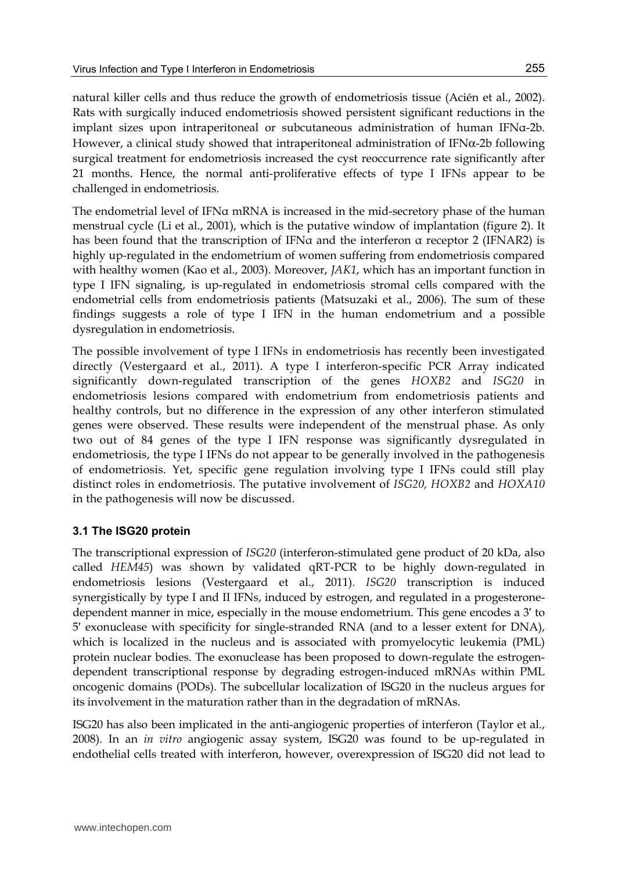natural killer cells and thus reduce the growth of endometriosis tissue (Acién et al., 2002). Rats with surgically induced endometriosis showed persistent significant reductions in the implant sizes upon intraperitoneal or subcutaneous administration of human IFNa-2b. However, a clinical study showed that intraperitoneal administration of IFN $\alpha$ -2b following surgical treatment for endometriosis increased the cyst reoccurrence rate significantly after 21 months. Hence, the normal anti-proliferative effects of type I IFNs appear to be challenged in endometriosis.

The endometrial level of IFN $\alpha$  mRNA is increased in the mid-secretory phase of the human menstrual cycle (Li et al., 2001), which is the putative window of implantation (figure 2). It has been found that the transcription of IFN $\alpha$  and the interferon  $\alpha$  receptor 2 (IFNAR2) is highly up-regulated in the endometrium of women suffering from endometriosis compared with healthy women (Kao et al., 2003). Moreover, *JAK1*, which has an important function in type I IFN signaling, is up-regulated in endometriosis stromal cells compared with the endometrial cells from endometriosis patients (Matsuzaki et al., 2006). The sum of these findings suggests a role of type I IFN in the human endometrium and a possible dysregulation in endometriosis.

The possible involvement of type I IFNs in endometriosis has recently been investigated directly (Vestergaard et al., 2011). A type I interferon-specific PCR Array indicated significantly down-regulated transcription of the genes *HOXB2* and *ISG20* in endometriosis lesions compared with endometrium from endometriosis patients and healthy controls, but no difference in the expression of any other interferon stimulated genes were observed. These results were independent of the menstrual phase. As only two out of 84 genes of the type I IFN response was significantly dysregulated in endometriosis, the type I IFNs do not appear to be generally involved in the pathogenesis of endometriosis. Yet, specific gene regulation involving type I IFNs could still play distinct roles in endometriosis. The putative involvement of *ISG20, HOXB2* and *HOXA10* in the pathogenesis will now be discussed.

## **3.1 The ISG20 protein**

The transcriptional expression of *ISG20* (interferon-stimulated gene product of 20 kDa, also called *HEM45*) was shown by validated qRT-PCR to be highly down-regulated in endometriosis lesions (Vestergaard et al., 2011). *ISG20* transcription is induced synergistically by type I and II IFNs, induced by estrogen, and regulated in a progesteronedependent manner in mice, especially in the mouse endometrium. This gene encodes a 3′ to 5′ exonuclease with specificity for single-stranded RNA (and to a lesser extent for DNA), which is localized in the nucleus and is associated with promyelocytic leukemia (PML) protein nuclear bodies. The exonuclease has been proposed to down-regulate the estrogendependent transcriptional response by degrading estrogen-induced mRNAs within PML oncogenic domains (PODs). The subcellular localization of ISG20 in the nucleus argues for its involvement in the maturation rather than in the degradation of mRNAs.

ISG20 has also been implicated in the anti-angiogenic properties of interferon (Taylor et al., 2008). In an *in vitro* angiogenic assay system, ISG20 was found to be up-regulated in endothelial cells treated with interferon, however, overexpression of ISG20 did not lead to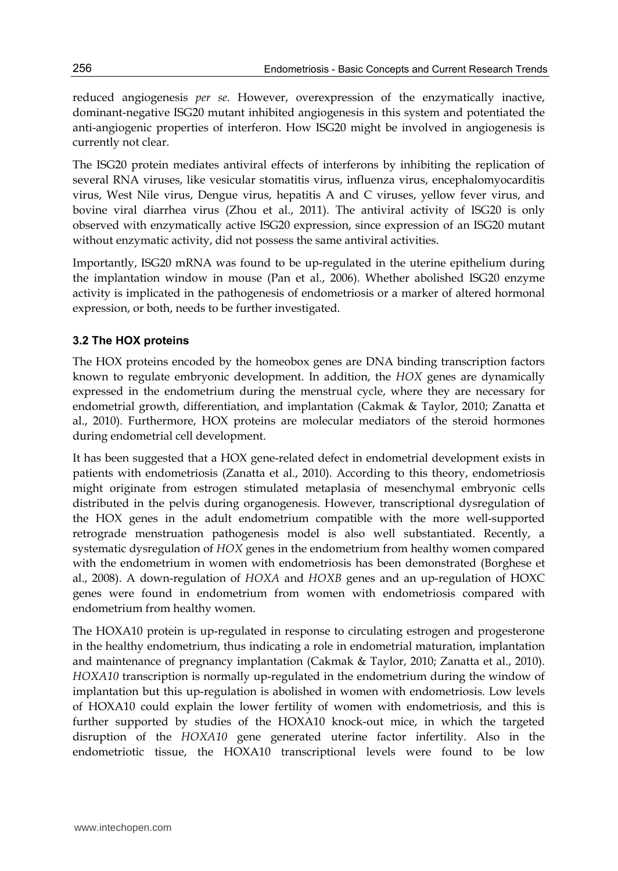reduced angiogenesis *per se*. However, overexpression of the enzymatically inactive, dominant-negative ISG20 mutant inhibited angiogenesis in this system and potentiated the anti-angiogenic properties of interferon. How ISG20 might be involved in angiogenesis is currently not clear.

The ISG20 protein mediates antiviral effects of interferons by inhibiting the replication of several RNA viruses, like vesicular stomatitis virus, influenza virus, encephalomyocarditis virus, West Nile virus, Dengue virus, hepatitis A and C viruses, yellow fever virus, and bovine viral diarrhea virus (Zhou et al., 2011). The antiviral activity of ISG20 is only observed with enzymatically active ISG20 expression, since expression of an ISG20 mutant without enzymatic activity, did not possess the same antiviral activities.

Importantly, ISG20 mRNA was found to be up-regulated in the uterine epithelium during the implantation window in mouse (Pan et al., 2006). Whether abolished ISG20 enzyme activity is implicated in the pathogenesis of endometriosis or a marker of altered hormonal expression, or both, needs to be further investigated.

# **3.2 The HOX proteins**

The HOX proteins encoded by the homeobox genes are DNA binding transcription factors known to regulate embryonic development. In addition, the *HOX* genes are dynamically expressed in the endometrium during the menstrual cycle, where they are necessary for endometrial growth, differentiation, and implantation (Cakmak & Taylor, 2010; Zanatta et al., 2010). Furthermore, HOX proteins are molecular mediators of the steroid hormones during endometrial cell development.

It has been suggested that a HOX gene-related defect in endometrial development exists in patients with endometriosis (Zanatta et al., 2010). According to this theory, endometriosis might originate from estrogen stimulated metaplasia of mesenchymal embryonic cells distributed in the pelvis during organogenesis. However, transcriptional dysregulation of the HOX genes in the adult endometrium compatible with the more well-supported retrograde menstruation pathogenesis model is also well substantiated. Recently, a systematic dysregulation of *HOX* genes in the endometrium from healthy women compared with the endometrium in women with endometriosis has been demonstrated (Borghese et al., 2008). A down-regulation of *HOXA* and *HOXB* genes and an up-regulation of HOXC genes were found in endometrium from women with endometriosis compared with endometrium from healthy women.

The HOXA10 protein is up-regulated in response to circulating estrogen and progesterone in the healthy endometrium, thus indicating a role in endometrial maturation, implantation and maintenance of pregnancy implantation (Cakmak & Taylor, 2010; Zanatta et al., 2010). *HOXA10* transcription is normally up-regulated in the endometrium during the window of implantation but this up-regulation is abolished in women with endometriosis. Low levels of HOXA10 could explain the lower fertility of women with endometriosis, and this is further supported by studies of the HOXA10 knock-out mice, in which the targeted disruption of the *HOXA10* gene generated uterine factor infertility. Also in the endometriotic tissue, the HOXA10 transcriptional levels were found to be low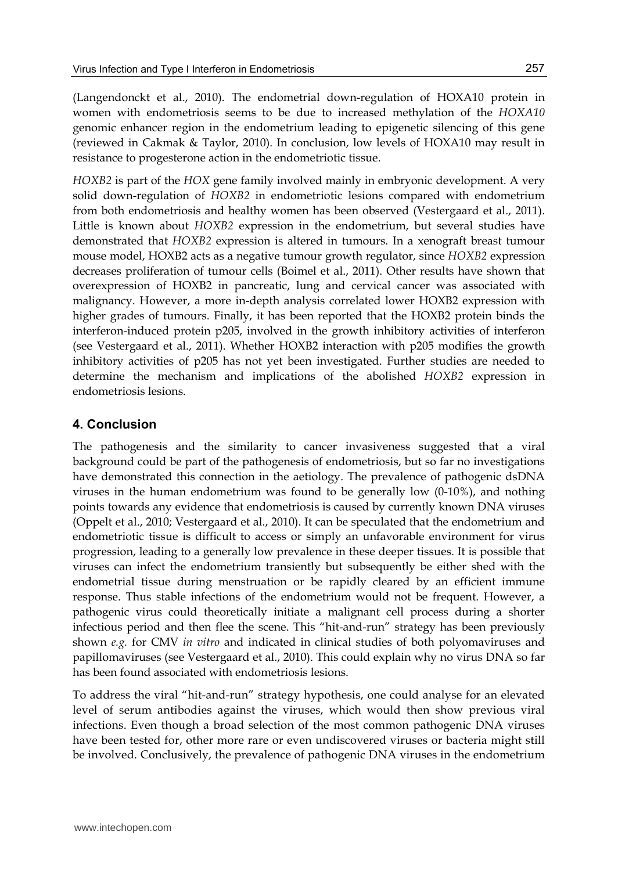(Langendonckt et al., 2010). The endometrial down-regulation of HOXA10 protein in women with endometriosis seems to be due to increased methylation of the *HOXA10* genomic enhancer region in the endometrium leading to epigenetic silencing of this gene (reviewed in Cakmak & Taylor, 2010). In conclusion, low levels of HOXA10 may result in resistance to progesterone action in the endometriotic tissue.

*HOXB2* is part of the *HOX* gene family involved mainly in embryonic development. A very solid down-regulation of *HOXB2* in endometriotic lesions compared with endometrium from both endometriosis and healthy women has been observed (Vestergaard et al., 2011). Little is known about *HOXB2* expression in the endometrium, but several studies have demonstrated that *HOXB2* expression is altered in tumours. In a xenograft breast tumour mouse model, HOXB2 acts as a negative tumour growth regulator, since *HOXB2* expression decreases proliferation of tumour cells (Boimel et al., 2011). Other results have shown that overexpression of HOXB2 in pancreatic, lung and cervical cancer was associated with malignancy. However, a more in-depth analysis correlated lower HOXB2 expression with higher grades of tumours. Finally, it has been reported that the HOXB2 protein binds the interferon-induced protein p205, involved in the growth inhibitory activities of interferon (see Vestergaard et al., 2011). Whether HOXB2 interaction with p205 modifies the growth inhibitory activities of p205 has not yet been investigated. Further studies are needed to determine the mechanism and implications of the abolished *HOXB2* expression in endometriosis lesions.

# **4. Conclusion**

The pathogenesis and the similarity to cancer invasiveness suggested that a viral background could be part of the pathogenesis of endometriosis, but so far no investigations have demonstrated this connection in the aetiology. The prevalence of pathogenic dsDNA viruses in the human endometrium was found to be generally low (0-10%), and nothing points towards any evidence that endometriosis is caused by currently known DNA viruses (Oppelt et al., 2010; Vestergaard et al., 2010). It can be speculated that the endometrium and endometriotic tissue is difficult to access or simply an unfavorable environment for virus progression, leading to a generally low prevalence in these deeper tissues. It is possible that viruses can infect the endometrium transiently but subsequently be either shed with the endometrial tissue during menstruation or be rapidly cleared by an efficient immune response. Thus stable infections of the endometrium would not be frequent. However, a pathogenic virus could theoretically initiate a malignant cell process during a shorter infectious period and then flee the scene. This "hit-and-run" strategy has been previously shown *e.g.* for CMV *in vitro* and indicated in clinical studies of both polyomaviruses and papillomaviruses (see Vestergaard et al., 2010). This could explain why no virus DNA so far has been found associated with endometriosis lesions.

To address the viral "hit-and-run" strategy hypothesis, one could analyse for an elevated level of serum antibodies against the viruses, which would then show previous viral infections. Even though a broad selection of the most common pathogenic DNA viruses have been tested for, other more rare or even undiscovered viruses or bacteria might still be involved. Conclusively, the prevalence of pathogenic DNA viruses in the endometrium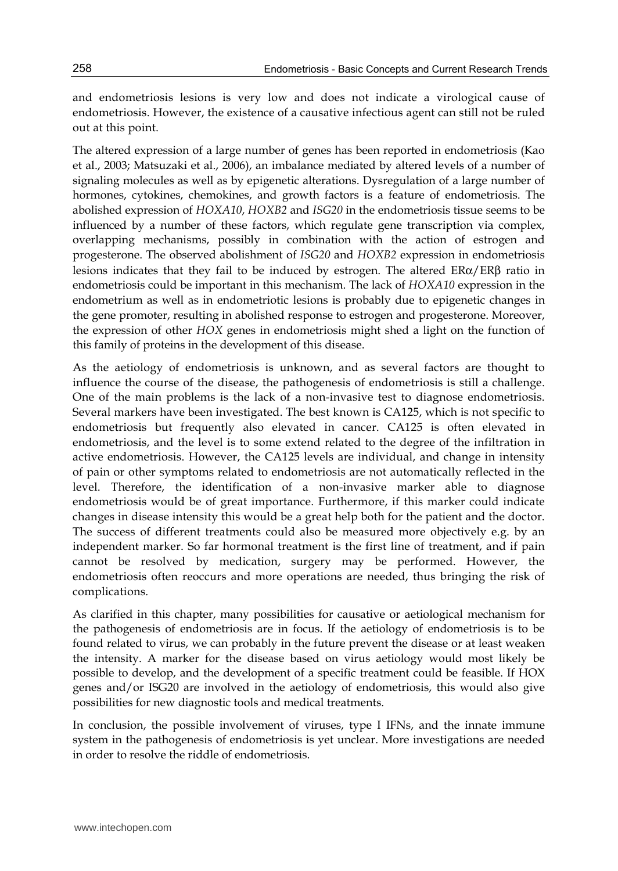and endometriosis lesions is very low and does not indicate a virological cause of endometriosis. However, the existence of a causative infectious agent can still not be ruled out at this point.

The altered expression of a large number of genes has been reported in endometriosis (Kao et al., 2003; Matsuzaki et al., 2006), an imbalance mediated by altered levels of a number of signaling molecules as well as by epigenetic alterations. Dysregulation of a large number of hormones, cytokines, chemokines, and growth factors is a feature of endometriosis. The abolished expression of *HOXA10*, *HOXB2* and *ISG20* in the endometriosis tissue seems to be influenced by a number of these factors, which regulate gene transcription via complex, overlapping mechanisms, possibly in combination with the action of estrogen and progesterone. The observed abolishment of *ISG20* and *HOXB2* expression in endometriosis lesions indicates that they fail to be induced by estrogen. The altered  $ERα/ERβ$  ratio in endometriosis could be important in this mechanism. The lack of *HOXA10* expression in the endometrium as well as in endometriotic lesions is probably due to epigenetic changes in the gene promoter, resulting in abolished response to estrogen and progesterone. Moreover, the expression of other *HOX* genes in endometriosis might shed a light on the function of this family of proteins in the development of this disease.

As the aetiology of endometriosis is unknown, and as several factors are thought to influence the course of the disease, the pathogenesis of endometriosis is still a challenge. One of the main problems is the lack of a non-invasive test to diagnose endometriosis. Several markers have been investigated. The best known is CA125, which is not specific to endometriosis but frequently also elevated in cancer. CA125 is often elevated in endometriosis, and the level is to some extend related to the degree of the infiltration in active endometriosis. However, the CA125 levels are individual, and change in intensity of pain or other symptoms related to endometriosis are not automatically reflected in the level. Therefore, the identification of a non-invasive marker able to diagnose endometriosis would be of great importance. Furthermore, if this marker could indicate changes in disease intensity this would be a great help both for the patient and the doctor. The success of different treatments could also be measured more objectively e.g. by an independent marker. So far hormonal treatment is the first line of treatment, and if pain cannot be resolved by medication, surgery may be performed. However, the endometriosis often reoccurs and more operations are needed, thus bringing the risk of complications.

As clarified in this chapter, many possibilities for causative or aetiological mechanism for the pathogenesis of endometriosis are in focus. If the aetiology of endometriosis is to be found related to virus, we can probably in the future prevent the disease or at least weaken the intensity. A marker for the disease based on virus aetiology would most likely be possible to develop, and the development of a specific treatment could be feasible. If HOX genes and/or ISG20 are involved in the aetiology of endometriosis, this would also give possibilities for new diagnostic tools and medical treatments.

In conclusion, the possible involvement of viruses, type I IFNs, and the innate immune system in the pathogenesis of endometriosis is yet unclear. More investigations are needed in order to resolve the riddle of endometriosis.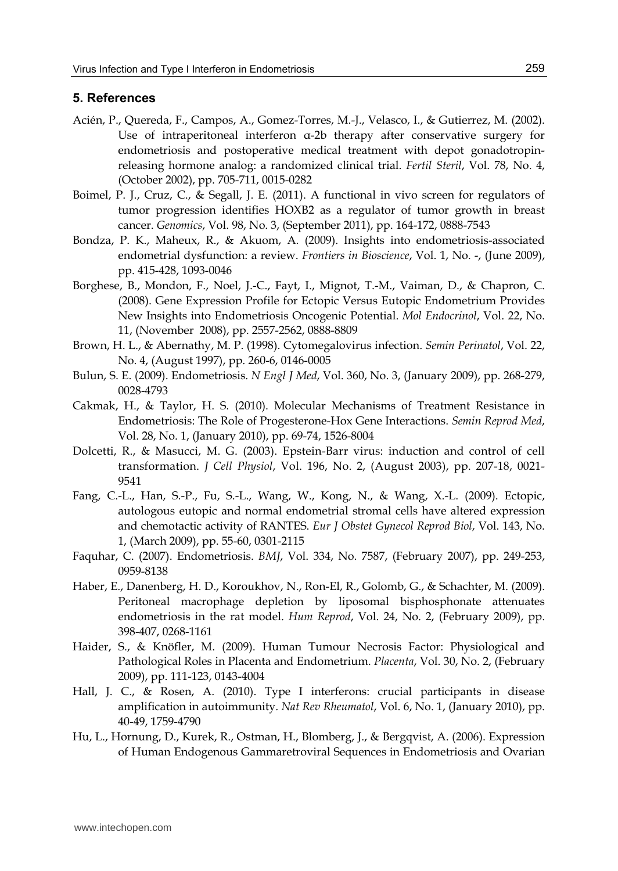#### **5. References**

- Acién, P., Quereda, F., Campos, A., Gomez-Torres, M.-J., Velasco, I., & Gutierrez, M. (2002). Use of intraperitoneal interferon  $\alpha$ -2b therapy after conservative surgery for endometriosis and postoperative medical treatment with depot gonadotropinreleasing hormone analog: a randomized clinical trial. *Fertil Steril*, Vol. 78, No. 4, (October 2002), pp. 705-711, 0015-0282
- Boimel, P. J., Cruz, C., & Segall, J. E. (2011). A functional in vivo screen for regulators of tumor progression identifies HOXB2 as a regulator of tumor growth in breast cancer. *Genomics*, Vol. 98, No. 3, (September 2011), pp. 164-172, 0888-7543
- Bondza, P. K., Maheux, R., & Akuom, A. (2009). Insights into endometriosis-associated endometrial dysfunction: a review. *Frontiers in Bioscience*, Vol. 1, No. -, (June 2009), pp. 415-428, 1093-0046
- Borghese, B., Mondon, F., Noel, J.-C., Fayt, I., Mignot, T.-M., Vaiman, D., & Chapron, C. (2008). Gene Expression Profile for Ectopic Versus Eutopic Endometrium Provides New Insights into Endometriosis Oncogenic Potential. *Mol Endocrinol*, Vol. 22, No. 11, (November 2008), pp. 2557-2562, 0888-8809
- Brown, H. L., & Abernathy, M. P. (1998). Cytomegalovirus infection. *Semin Perinatol*, Vol. 22, No. 4, (August 1997), pp. 260-6, 0146-0005
- Bulun, S. E. (2009). Endometriosis. *N Engl J Med*, Vol. 360, No. 3, (January 2009), pp. 268-279, 0028-4793
- Cakmak, H., & Taylor, H. S. (2010). Molecular Mechanisms of Treatment Resistance in Endometriosis: The Role of Progesterone-Hox Gene Interactions. *Semin Reprod Med*, Vol. 28, No. 1, (January 2010), pp. 69-74, 1526-8004
- Dolcetti, R., & Masucci, M. G. (2003). Epstein-Barr virus: induction and control of cell transformation. *J Cell Physiol*, Vol. 196, No. 2, (August 2003), pp. 207-18, 0021- 9541
- Fang, C.-L., Han, S.-P., Fu, S.-L., Wang, W., Kong, N., & Wang, X.-L. (2009). Ectopic, autologous eutopic and normal endometrial stromal cells have altered expression and chemotactic activity of RANTES. *Eur J Obstet Gynecol Reprod Biol*, Vol. 143, No. 1, (March 2009), pp. 55-60, 0301-2115
- Faquhar, C. (2007). Endometriosis. *BMJ*, Vol. 334, No. 7587, (February 2007), pp. 249-253, 0959-8138
- Haber, E., Danenberg, H. D., Koroukhov, N., Ron-El, R., Golomb, G., & Schachter, M. (2009). Peritoneal macrophage depletion by liposomal bisphosphonate attenuates endometriosis in the rat model. *Hum Reprod*, Vol. 24, No. 2, (February 2009), pp. 398-407, 0268-1161
- Haider, S., & Knöfler, M. (2009). Human Tumour Necrosis Factor: Physiological and Pathological Roles in Placenta and Endometrium. *Placenta*, Vol. 30, No. 2, (February 2009), pp. 111-123, 0143-4004
- Hall, J. C., & Rosen, A. (2010). Type I interferons: crucial participants in disease amplification in autoimmunity. *Nat Rev Rheumatol*, Vol. 6, No. 1, (January 2010), pp. 40-49, 1759-4790
- Hu, L., Hornung, D., Kurek, R., Ostman, H., Blomberg, J., & Bergqvist, A. (2006). Expression of Human Endogenous Gammaretroviral Sequences in Endometriosis and Ovarian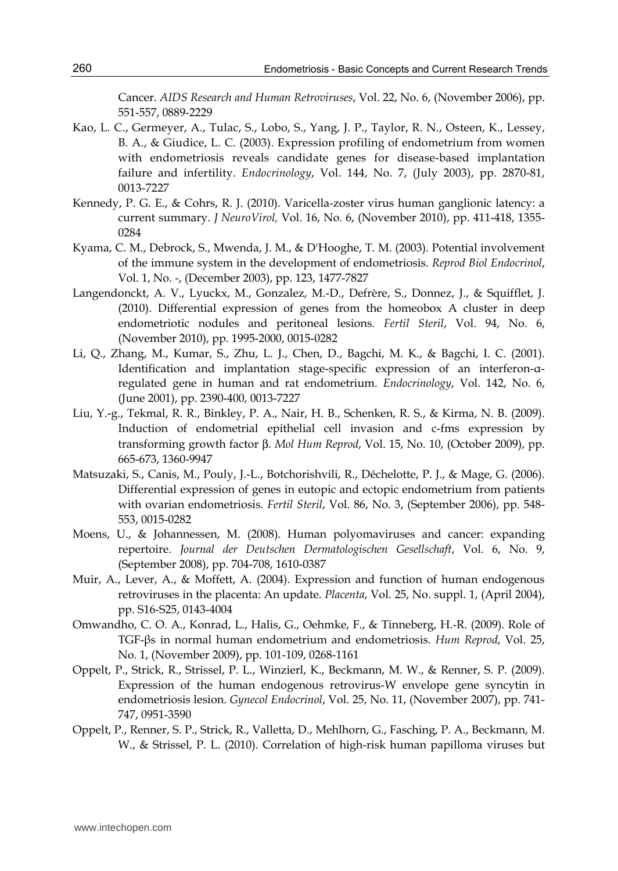Cancer. *AIDS Research and Human Retroviruses*, Vol. 22, No. 6, (November 2006), pp. 551-557, 0889-2229

- Kao, L. C., Germeyer, A., Tulac, S., Lobo, S., Yang, J. P., Taylor, R. N., Osteen, K., Lessey, B. A., & Giudice, L. C. (2003). Expression profiling of endometrium from women with endometriosis reveals candidate genes for disease-based implantation failure and infertility. *Endocrinology*, Vol. 144, No. 7, (July 2003), pp. 2870-81, 0013-7227
- Kennedy, P. G. E., & Cohrs, R. J. (2010). Varicella-zoster virus human ganglionic latency: a current summary. *J NeuroVirol,* Vol. 16, No. 6, (November 2010), pp. 411-418, 1355- 0284
- Kyama, C. M., Debrock, S., Mwenda, J. M., & D'Hooghe, T. M. (2003). Potential involvement of the immune system in the development of endometriosis. *Reprod Biol Endocrinol*, Vol. 1, No. -, (December 2003), pp. 123, 1477-7827
- Langendonckt, A. V., Lyuckx, M., Gonzalez, M.-D., Defrère, S., Donnez, J., & Squifflet, J. (2010). Differential expression of genes from the homeobox A cluster in deep endometriotic nodules and peritoneal lesions. *Fertil Steril*, Vol. 94, No. 6, (November 2010), pp. 1995-2000, 0015-0282
- Li, Q., Zhang, M., Kumar, S., Zhu, L. J., Chen, D., Bagchi, M. K., & Bagchi, I. C. (2001). Identification and implantation stage-specific expression of an interferon-aregulated gene in human and rat endometrium. *Endocrinology*, Vol. 142, No. 6, (June 2001), pp. 2390-400, 0013-7227
- Liu, Y.-g., Tekmal, R. R., Binkley, P. A., Nair, H. B., Schenken, R. S., & Kirma, N. B. (2009). Induction of endometrial epithelial cell invasion and c-fms expression by transforming growth factor β. *Mol Hum Reprod*, Vol. 15, No. 10, (October 2009), pp. 665-673, 1360-9947
- Matsuzaki, S., Canis, M., Pouly, J.-L., Botchorishvili, R., Déchelotte, P. J., & Mage, G. (2006). Differential expression of genes in eutopic and ectopic endometrium from patients with ovarian endometriosis. *Fertil Steril*, Vol. 86, No. 3, (September 2006), pp. 548- 553, 0015-0282
- Moens, U., & Johannessen, M. (2008). Human polyomaviruses and cancer: expanding repertoire. *Journal der Deutschen Dermatologischen Gesellschaft*, Vol. 6, No. 9, (September 2008), pp. 704-708, 1610-0387
- Muir, A., Lever, A., & Moffett, A. (2004). Expression and function of human endogenous retroviruses in the placenta: An update. *Placenta*, Vol. 25, No. suppl. 1, (April 2004), pp. S16-S25, 0143-4004
- Omwandho, C. O. A., Konrad, L., Halis, G., Oehmke, F., & Tinneberg, H.-R. (2009). Role of TGF-βs in normal human endometrium and endometriosis. *Hum Reprod*, Vol. 25, No. 1, (November 2009), pp. 101-109, 0268-1161
- Oppelt, P., Strick, R., Strissel, P. L., Winzierl, K., Beckmann, M. W., & Renner, S. P. (2009). Expression of the human endogenous retrovirus-W envelope gene syncytin in endometriosis lesion. *Gynecol Endocrinol*, Vol. 25, No. 11, (November 2007), pp. 741- 747, 0951-3590
- Oppelt, P., Renner, S. P., Strick, R., Valletta, D., Mehlhorn, G., Fasching, P. A., Beckmann, M. W., & Strissel, P. L. (2010). Correlation of high-risk human papilloma viruses but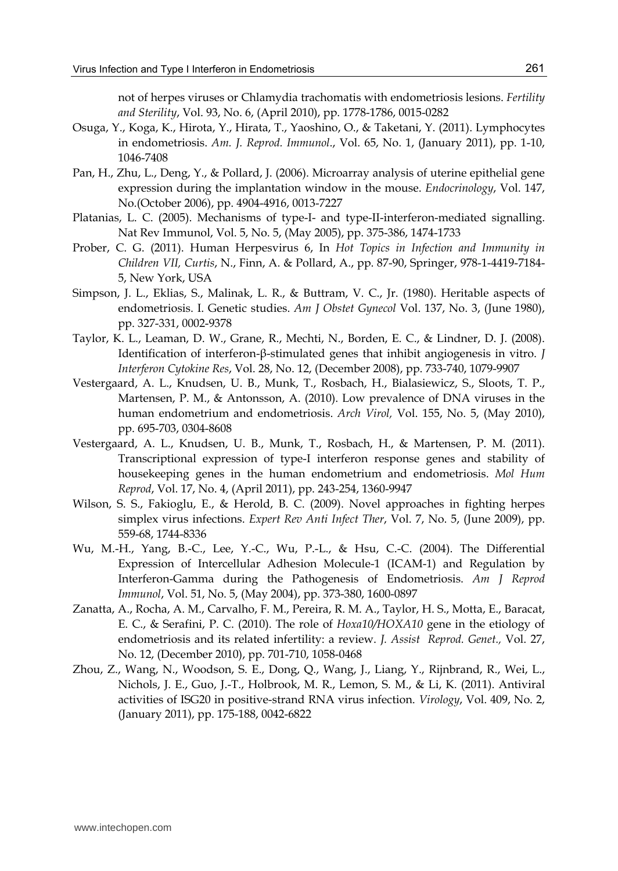not of herpes viruses or Chlamydia trachomatis with endometriosis lesions. *Fertility and Sterility*, Vol. 93, No. 6, (April 2010), pp. 1778-1786, 0015-0282

- Osuga, Y., Koga, K., Hirota, Y., Hirata, T., Yaoshino, O., & Taketani, Y. (2011). Lymphocytes in endometriosis. *Am. J. Reprod. Immunol*., Vol. 65, No. 1, (January 2011), pp. 1-10, 1046-7408
- Pan, H., Zhu, L., Deng, Y., & Pollard, J. (2006). Microarray analysis of uterine epithelial gene expression during the implantation window in the mouse. *Endocrinology*, Vol. 147, No.(October 2006), pp. 4904-4916, 0013-7227
- Platanias, L. C. (2005). Mechanisms of type-I- and type-II-interferon-mediated signalling. Nat Rev Immunol, Vol. 5, No. 5, (May 2005), pp. 375-386, 1474-1733
- Prober, C. G. (2011). Human Herpesvirus 6, In *Hot Topics in Infection and Immunity in Children VII, Curtis*, N., Finn, A. & Pollard, A., pp. 87-90, Springer, 978-1-4419-7184- 5, New York, USA
- Simpson, J. L., Eklias, S., Malinak, L. R., & Buttram, V. C., Jr. (1980). Heritable aspects of endometriosis. I. Genetic studies. *Am J Obstet Gynecol* Vol. 137, No. 3, (June 1980), pp. 327-331, 0002-9378
- Taylor, K. L., Leaman, D. W., Grane, R., Mechti, N., Borden, E. C., & Lindner, D. J. (2008). Identification of interferon-β-stimulated genes that inhibit angiogenesis in vitro. *J Interferon Cytokine Res*, Vol. 28, No. 12, (December 2008), pp. 733-740, 1079-9907
- Vestergaard, A. L., Knudsen, U. B., Munk, T., Rosbach, H., Bialasiewicz, S., Sloots, T. P., Martensen, P. M., & Antonsson, A. (2010). Low prevalence of DNA viruses in the human endometrium and endometriosis. *Arch Virol,* Vol. 155, No. 5, (May 2010), pp. 695-703, 0304-8608
- Vestergaard, A. L., Knudsen, U. B., Munk, T., Rosbach, H., & Martensen, P. M. (2011). Transcriptional expression of type-I interferon response genes and stability of housekeeping genes in the human endometrium and endometriosis. *Mol Hum Reprod*, Vol. 17, No. 4, (April 2011), pp. 243-254, 1360-9947
- Wilson, S. S., Fakioglu, E., & Herold, B. C. (2009). Novel approaches in fighting herpes simplex virus infections. *Expert Rev Anti Infect Ther*, Vol. 7, No. 5, (June 2009), pp. 559-68, 1744-8336
- Wu, M.-H., Yang, B.-C., Lee, Y.-C., Wu, P.-L., & Hsu, C.-C. (2004). The Differential Expression of Intercellular Adhesion Molecule-1 (ICAM-1) and Regulation by Interferon-Gamma during the Pathogenesis of Endometriosis. *Am J Reprod Immunol*, Vol. 51, No. 5, (May 2004), pp. 373-380, 1600-0897
- Zanatta, A., Rocha, A. M., Carvalho, F. M., Pereira, R. M. A., Taylor, H. S., Motta, E., Baracat, E. C., & Serafini, P. C. (2010). The role of *Hoxa10/HOXA10* gene in the etiology of endometriosis and its related infertility: a review. *J. Assist Reprod. Genet.,* Vol. 27, No. 12, (December 2010), pp. 701-710, 1058-0468
- Zhou, Z., Wang, N., Woodson, S. E., Dong, Q., Wang, J., Liang, Y., Rijnbrand, R., Wei, L., Nichols, J. E., Guo, J.-T., Holbrook, M. R., Lemon, S. M., & Li, K. (2011). Antiviral activities of ISG20 in positive-strand RNA virus infection. *Virology*, Vol. 409, No. 2, (January 2011), pp. 175-188, 0042-6822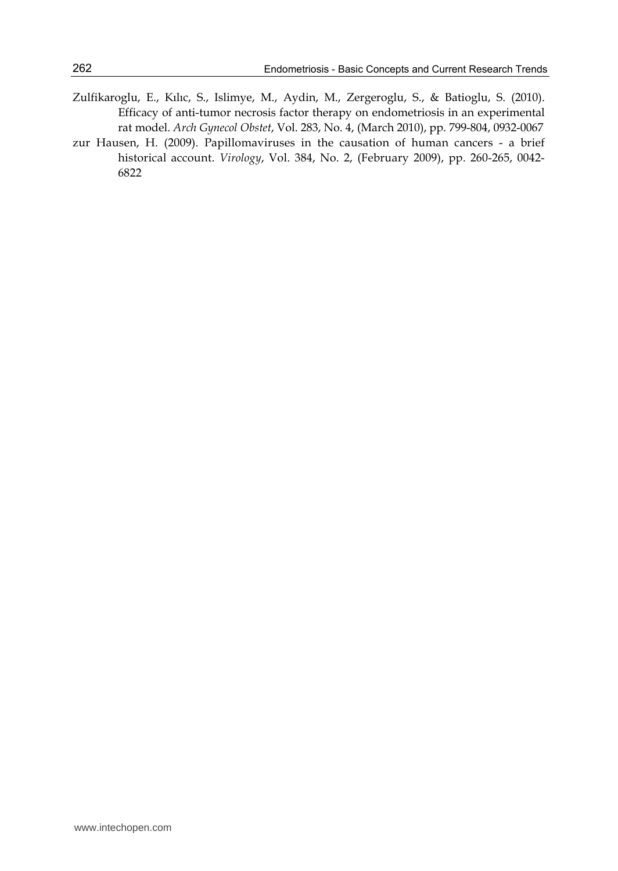- Zulfikaroglu, E., Kılıc, S., Islimye, M., Aydin, M., Zergeroglu, S., & Batioglu, S. (2010). Efficacy of anti-tumor necrosis factor therapy on endometriosis in an experimental rat model. *Arch Gynecol Obstet*, Vol. 283, No. 4, (March 2010), pp. 799-804, 0932-0067
- zur Hausen, H. (2009). Papillomaviruses in the causation of human cancers a brief historical account. *Virology*, Vol. 384, No. 2, (February 2009), pp. 260-265, 0042- 6822